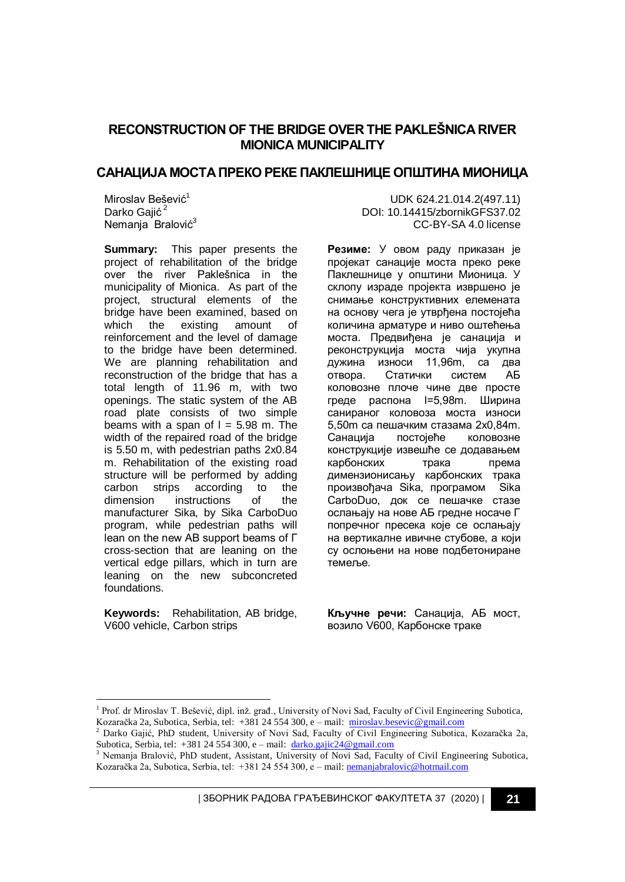# **RECONSTRUCTION OF THE BRIDGE OVER THE PAKLEŠNICA RIVER MIONICA MUNICIPALITY**

## **САНАЦИЈА МОСТА ПРЕКО РЕКЕ ПАКЛЕШНИЦЕ ОПШТИНА МИОНИЦА**

Miroslav Bešević<sup>1</sup> Darko Gajić<sup>2</sup> Nemanja Bralović<sup>3</sup>

**Summary:** This paper presents the project of rehabilitation of the bridge over the river Paklešnica in the municipality of Mionica. As part of the project, structural elements of the bridge have been examined, based on which the existing amount of reinforcement and the level of damage to the bridge have been determined. We are planning rehabilitation and reconstruction of the bridge that has a total length of 11.96 m, with two openings. The static system of the AB road plate consists of two simple beams with a span of  $l = 5.98$  m. The width of the repaired road of the bridge is 5.50 m, with pedestrian paths 2x0.84 m. Rehabilitation of the existing road structure will be performed by adding carbon strips according to the dimension instructions of the manufacturer Sika, by Sika CarboDuo program, while pedestrian paths will lean on the new AB support beams of Г cross-section that are leaning on the vertical edge pillars, which in turn are leaning on the new subconcreted foundations.

**Keywords:** Rehabilitation, AB bridge, V600 vehicle, Carbon strips

-

UDK 624.21.014.2(497.11) DOI: 10.14415/zbornikGFS37.02 CC-BY-SA 4.0 license

**Резиме:** У овом раду приказан је проjeкaт санације моста преко реке Паклешнице у општини Мионица. У склопу израде пројекта извршено је снимање конструктивних елемената на основу чега је утврђена постојећа количина арматуре и ниво оштећења моста. Предвиђена је санација и реконструкција моста чија укупна дужина износи 11,96m, са два отвора. Стaтички систем АБ коловозне плоче чине две просте греде распона l=5,98m. Ширина санираног коловоза моста износи 5,50m са пешачким стазама 2x0,84m. Санација постојеће коловозне конструкције извешће се додавањем карбонских трака према димензионисању карбонских трака произвођача Sika, програмом Sika CarboDuo, док се пешачке стазе ослањају на нове АБ гредне носаче Г попречног пресека које се ослањају на вертикалне ивичне стубове, а који су ослоњени на нове подбетониране темеље.

**Кључне речи:** Санација, АБ мост, возило V600, Карбонске траке

| ЗБОРНИК РАДОВА ГРАЂЕВИНСКОГ ФАКУЛТЕТА 37 (2020) | **21**

<sup>&</sup>lt;sup>1</sup> Prof. dr Miroslav T. Bešević, dipl. inž. građ., University of Novi Sad, Faculty of Civil Engineering Subotica, Kozaračka 2a, Subotica, Serbia, tel: +381 24 554 300, e – mail: [miroslav.besevic@gm](mailto:miroslav.besevic@g)ail.com

<sup>2</sup> Darko Gajić, PhD student, University of Novi Sad, Faculty of Civil Engineering Subotica, Kozaračka 2a, Subotica, Serbia, tel: +381 24 554 300, e – mail: [darko.gajic24@gmail.com](file:///C:/Users/Gajic/Desktop/15.%20Diajgnostika%20stanja%2029.3.2020/2.%20Darko/darko.gajic24@gmail.com)

<sup>3</sup> Nemanja Bralović, PhD student, Assistant, University of Novi Sad, Faculty of Civil Engineering Subotica, Kozaračka 2a, Subotica, Serbia, tel: +381 24 554 300, e – mail[: nemanjabralovic@hotmail.com](file:///C:/Users/Gajic/Desktop/15.%20Diajgnostika%20stanja%2029.3.2020/2.%20Darko/nemanjabralovic@hotmail.com)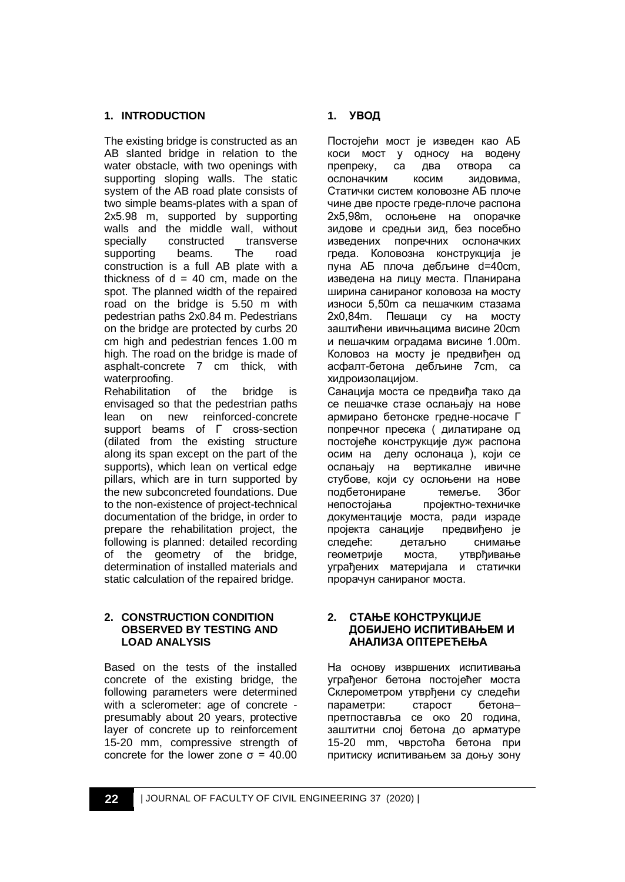### **1. INTRODUCTION**

The existing bridge is constructed as an AB slanted bridge in relation to the water obstacle, with two openings with supporting sloping walls. The static system of the AB road plate consists of two simple beams-plates with a span of 2x5.98 m, supported by supporting walls and the middle wall, without specially constructed transverse supporting beams. The road construction is a full AB plate with a thickness of  $d = 40$  cm, made on the spot. The planned width of the repaired road on the bridge is 5.50 m with pedestrian paths 2x0.84 m. Pedestrians on the bridge are protected by curbs 20 cm high and pedestrian fences 1.00 m high. The road on the bridge is made of asphalt-concrete 7 cm thick, with waterproofing.

Rehabilitation of the bridge is envisaged so that the pedestrian paths lean on new reinforced-concrete support beams of Г cross-section (dilated from the existing structure along its span except on the part of the supports), which lean on vertical edge pillars, which are in turn supported by the new subconcreted foundations. Due to the non-existence of project-technical documentation of the bridge, in order to prepare the rehabilitation project, the following is planned: detailed recording of the geometry of the bridge, determination of installed materials and static calculation of the repaired bridge.

#### **2. CONSTRUCTION CONDITION OBSERVED BY TESTING AND LOAD ANALYSIS**

Based on the tests of the installed concrete of the existing bridge, the following parameters were determined with a sclerometer: age of concrete presumably about 20 years, protective layer of concrete up to reinforcement 15-20 mm, compressive strength of concrete for the lower zone σ = 40.00

## **1. УВОД**

Постојећи мост је изведен као АБ коси мост у односу на водену препреку, са два отвора са ослоначким косим зидовима, Статички систем коловозне АБ плоче чине две просте греде-плоче распона 2x5,98m, ослоњене на опорачке зидове и средњи зид, без посебно изведених попречних ослоначких греда. Коловозна конструкција је пуна АБ плоча дебљине d=40cm, изведена на лицу места. Планирана ширина санираног коловоза на мосту износи 5,50m са пешачким стазама 2x0,84m. Пешаци су на мосту заштићени ивичњацима висине 20cm и пешачким оградама висине 1.00m. Коловоз на мосту је предвиђен од асфалт-бетона дебљине 7cm, са хидроизолацијом.

Санација моста се предвиђа тако да се пешачке стазе ослањају на нове армирано бетонске гредне-носаче Г попречног пресека ( дилатиране од постојеће конструкције дуж распона осим на делу ослонаца ), који се ослањају на вертикалне ивичне стубове, који су ослоњени на нове подбетониране темеље. Због непостојања пројектно-техничке документације моста, ради израде пројекта санације предвиђено је<br>следеће: детаљно снимање следеће: детаљно снимање геометрије моста, утврђивање уграђених материјала и статички прорачун санираног моста.

#### **2. СТАЊЕ КОНСТРУКЦИЈЕ ДОБИЈЕНО ИСПИТИВАЊЕМ И АНАЛИЗА ОПТЕРЕЋЕЊА**

На основу извршених испитивања уграђеног бетона постојећег моста Склерометром утврђени су следећи параметри: старост бетона– претпоставља се око 20 година, заштитни слој бетона до арматуре 15-20 mm, чврстоћа бетона при притиску испитивањем за доњу зону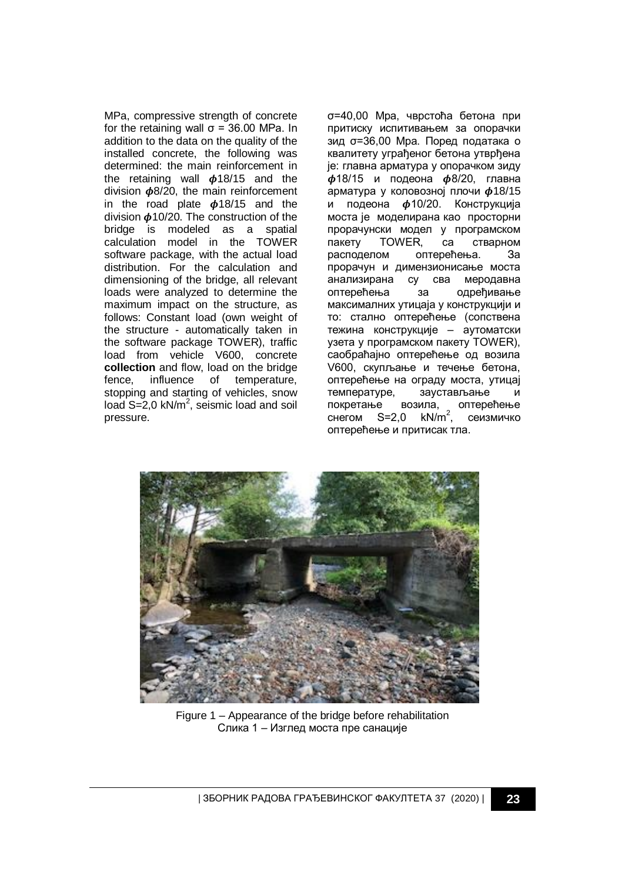MPa, compressive strength of concrete for the retaining wall  $\sigma$  = 36.00 MPa. In addition to the data on the quality of the installed concrete, the following was determined: the main reinforcement in the retaining wall  $\phi$ 18/15 and the division  $\phi$ 8/20, the main reinforcement in the road plate  $\phi$ 18/15 and the division  $\phi$ 10/20. The construction of the bridge is modeled as a spatial calculation model in the TOWER software package, with the actual load distribution. For the calculation and dimensioning of the bridge, all relevant loads were analyzed to determine the maximum impact on the structure, as follows: Constant load (own weight of the structure - automatically taken in the software package TOWER), traffic load from vehicle V600, concrete **collection** and flow, load on the bridge fence, influence of temperature, stopping and starting of vehicles, snow load  $S = 2,0$  kN/m<sup>2</sup>, seismic load and soil pressure.

σ=40,00 Mpa, чврстоћа бетона при притиску испитивањем за опорачки зид σ=36,00 Mpa. Поред података о квалитету уграђеног бетона утврђена је: главна арматура у опорачком зиду  $\phi$ 18/15 и подеона  $\phi$ 8/20, главна арматура у коловозној плочи  $\phi$ 18/15 и подеона  $\phi$ 10/20. Конструкција моста је моделирана као просторни прорачунски модел у програмском пакету TOWER, са стварном расподелом оптерећења. За прорачун и димензиoнисање моста анализирана су сва меродавна оптерећења за одређивање максималних утицаја у конструкцији и то: стално оптерећење (сопствена тежина конструкције – аутоматски узета у програмском пакету TOWER), саобраћајно оптерећење од возила V600, скупљање и течење бетона, оптерећење на ограду моста, утицај температуре, заустављање и покретање возила, оптерећење<br>снегом S=2,0 kN/m<sup>2</sup>, сеизмичко  $cherom$  S=2.0 , сеизмичко оптерећење и притисак тла.



Figure 1 – Appearance of the bridge before rehabilitation Слика 1 – Изглед моста пре санације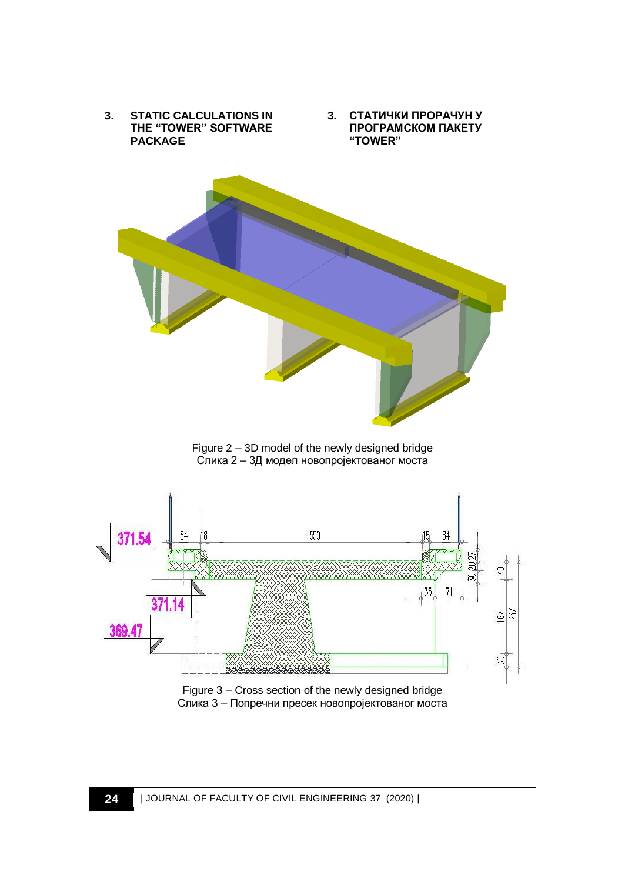

Figure 3 – Cross section of the newly designed bridge Слика 3 – Попречни пресек новопројектованог моста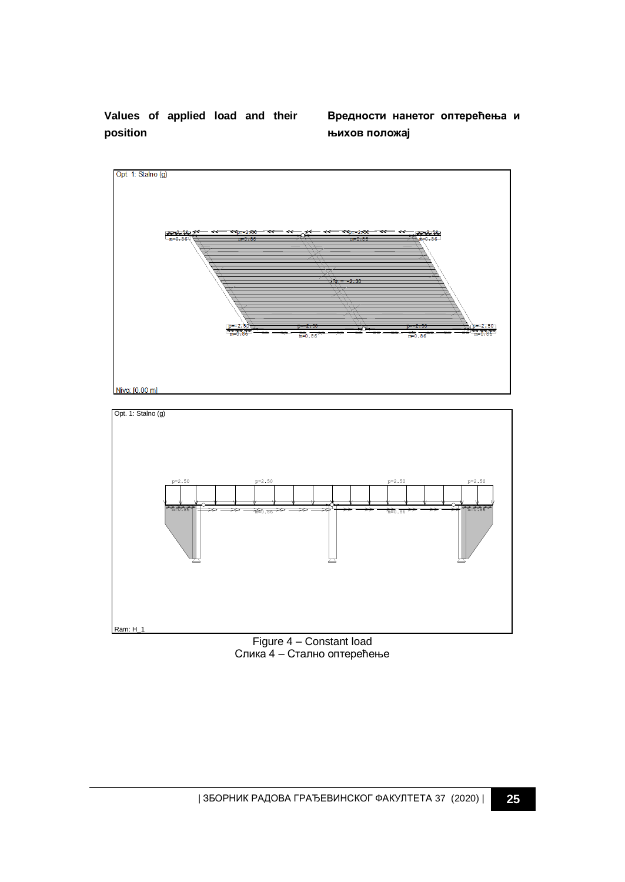**Values of applied load and their position**

**Вредности нанетог оптерећења и њихов положај**





Figure 4 – Constant load Слика 4 – Стално оптерећење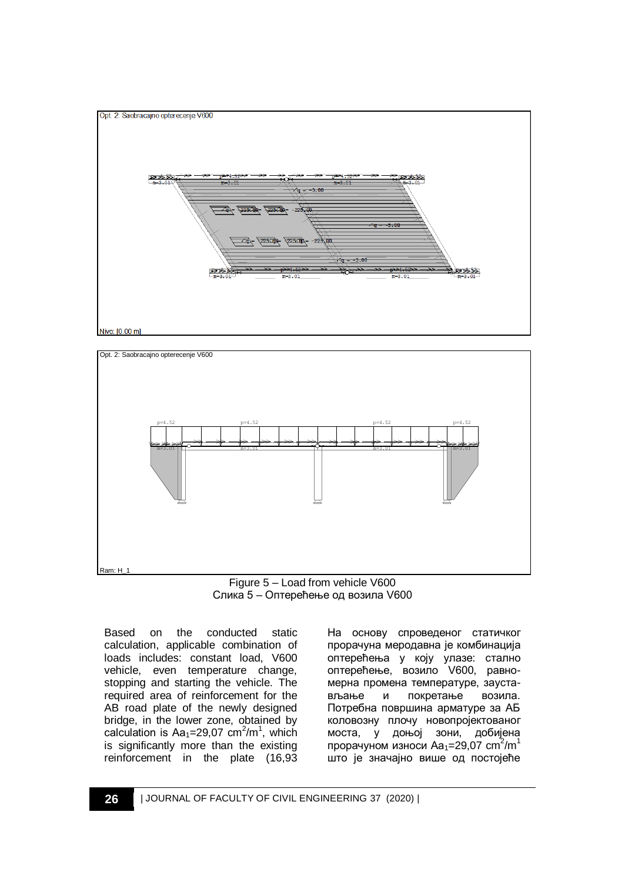



Figure 5 – Load from vehicle V600 Слика 5 – Оптерећење од возила V600

Based on the conducted static calculation, applicable combination of loads includes: constant load, V600 vehicle, even temperature change, stopping and starting the vehicle. The required area of reinforcement for the AB road plate of the newly designed bridge, in the lower zone, obtained by calculation is  $Aa_1=29.07$  cm<sup>2</sup>/m<sup>1</sup>, which is significantly more than the existing reinforcement in the plate (16,93

На основу спроведеног статичког прорачуна меродавна је комбинација оптерећења у коју улазе: стално оптерећење, возило V600, равномерна промена температуре, заустављање и покретање возила. Потребна површина арматуре за АБ коловозну плочу новопројектованог моста, у доњој зони, добијена прорачуном износи Аа<sub>1</sub>=29,07 cm<sup>2</sup>/m<sup>1</sup> што је значајно више од постојеће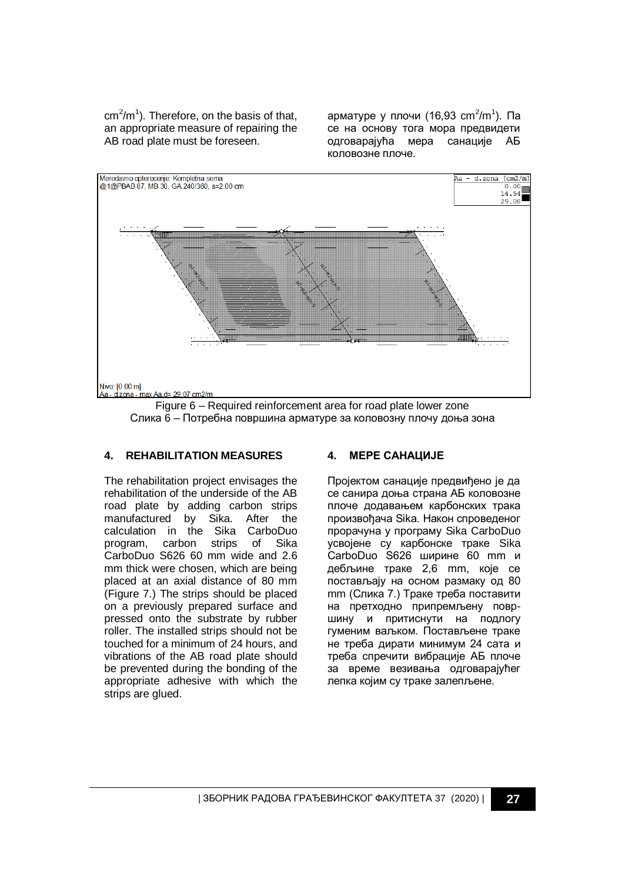$cm<sup>2</sup>/m<sup>1</sup>$ ). Therefore, on the basis of that, an appropriate measure of repairing the AB road plate must be foreseen.

арматуре у плочи (16,93 cm<sup>2</sup>/m<sup>1</sup>). Па се на основу тога мора предвидети одговарајућа мера санације АБ коловозне плоче.



Figure 6 – Required reinforcement area for road plate lower zone Слика 6 – Потребна површина арматуре за коловозну плочу доња зона

### **4. REHABILITATION MEASURES 4. МЕРЕ САНАЦИЈЕ**

The rehabilitation project envisages the rehabilitation of the underside of the AB road plate by adding carbon strips manufactured by Sika. After the calculation in the Sika CarboDuo program, carbon strips of Sika CarboDuo S626 60 mm wide and 2.6 mm thick were chosen, which are being placed at an axial distance of 80 mm (Figure 7.) The strips should be placed on a previously prepared surface and pressed onto the substrate by rubber roller. The installed strips should not be touched for a minimum of 24 hours, and vibrations of the AB road plate should be prevented during the bonding of the appropriate adhesive with which the strips are glued.

Пројектом санације предвиђено је да се санира доња страна АБ коловозне плоче додавањем карбонских трака произвођача Sika. Након спроведеног прорачуна у програму Sika CarboDuo усвојене су карбонске траке Sika CarboDuo S626 ширине 60 mm и дебљине траке 2,6 mm, које се постављају на осном размаку од 80 mm (Слика 7.) Траке треба поставити на претходно припремљену површину и притиснути на подлогу гуменим ваљком. Постављене траке не треба дирати минимум 24 сата и треба спречити вибрације АБ плоче за време везивања одговарајућег лепка којим су траке залепљене.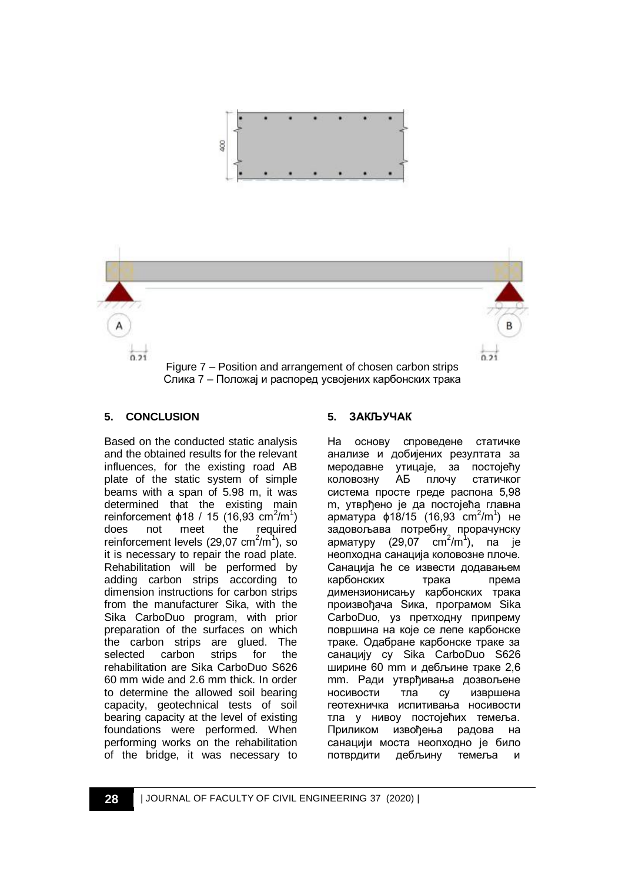



## **5. CONCLUSION**

Based on the conducted static analysis and the obtained results for the relevant influences, for the existing road AB plate of the static system of simple beams with a span of 5.98 m, it was determined that the existing main reinforcement  $\phi$ 18 / 15 (16,93 cm<sup>2</sup>/m<sup>1</sup>) does not meet the required reinforcement levels (29,07 cm $^2/m^1$ ), so it is necessary to repair the road plate. Rehabilitation will be performed by adding carbon strips according to dimension instructions for carbon strips from the manufacturer Sika, with the Sika CarboDuo program, with prior preparation of the surfaces on which the carbon strips are glued. The selected carbon strips for the rehabilitation are Sika CarboDuo S626 60 mm wide and 2.6 mm thick. In order to determine the allowed soil bearing capacity, geotechnical tests of soil bearing capacity at the level of existing foundations were performed. When performing works on the rehabilitation of the bridge, it was necessary to

### **5. ЗАКЉУЧАК**

На основу спроведене статичке анализе и добијених резултата за меродавне утицаје, за постојећу коловозну АБ плочу статичког система просте греде распона 5,98 m, утврђено је да постојећа главна арматура  $\phi$ 18/15 (16,93 cm<sup>2</sup>/m<sup>1</sup>) не задовољава потребну прорачунску арматуру (29,07 cm<sup>2</sup>/m<sup>1</sup> ), па је неопходна санација коловозне плоче. Санација ће се извести додавањем карбонских трака према димензионисању карбонских трака произвођача Sика, програмом Sika CarboDuo, уз претходну припрему површина на које се лепе карбонске траке. Одабране карбонске траке за санацију су Sika CarboDuo S626 ширине 60 mm и дебљине траке 2,6 mm. Ради утврђивања дозвољене носивости тла су извршена геотехничка испитивања носивости тла у нивоу постојећих темеља. Приликом извођења радова на санацији моста неопходно је било потврдити дебљину темеља и